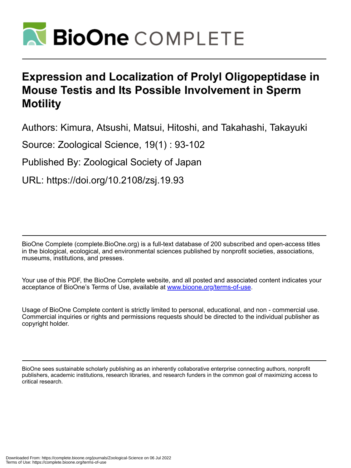

# **Expression and Localization of Prolyl Oligopeptidase in Mouse Testis and Its Possible Involvement in Sperm Motility**

Authors: Kimura, Atsushi, Matsui, Hitoshi, and Takahashi, Takayuki

Source: Zoological Science, 19(1) : 93-102

Published By: Zoological Society of Japan

URL: https://doi.org/10.2108/zsj.19.93

BioOne Complete (complete.BioOne.org) is a full-text database of 200 subscribed and open-access titles in the biological, ecological, and environmental sciences published by nonprofit societies, associations, museums, institutions, and presses.

Your use of this PDF, the BioOne Complete website, and all posted and associated content indicates your acceptance of BioOne's Terms of Use, available at www.bioone.org/terms-of-use.

Usage of BioOne Complete content is strictly limited to personal, educational, and non - commercial use. Commercial inquiries or rights and permissions requests should be directed to the individual publisher as copyright holder.

BioOne sees sustainable scholarly publishing as an inherently collaborative enterprise connecting authors, nonprofit publishers, academic institutions, research libraries, and research funders in the common goal of maximizing access to critical research.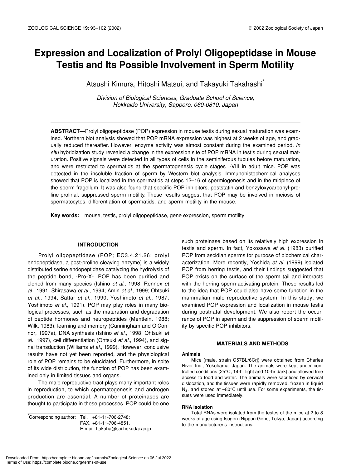# **Expression and Localization of Prolyl Oligopeptidase in Mouse Testis and Its Possible Involvement in Sperm Motility**

Atsushi Kimura, Hitoshi Matsui, and Takayuki Takahashi\*

*Division of Biological Sciences, Graduate School of Science, Hokkaido University, Sapporo, 060-0810, Japan*

**ABSTRACT**—Prolyl oligopeptidase (POP) expression in mouse testis during sexual maturation was examined. Northern blot analysis showed that POP mRNA expression was highest at 2 weeks of age, and gradually reduced thereafter. However, enzyme activity was almost constant during the examined period. *In situ* hybridization study revealed a change in the expression site of POP mRNA in testis during sexual maturation. Positive signals were detected in all types of cells in the seminiferous tubules before maturation, and were restricted to spermatids at the spermatogenesis cycle stages I-VIII in adult mice. POP was detected in the insoluble fraction of sperm by Western blot analysis. Immunohistochemical analyses showed that POP is localized in the spermatids at steps 12–16 of spermiogenesis and in the midpiece of the sperm fragellum. It was also found that specific POP inhibitors, poststatin and benzyloxycarbonyl-proline-prolinal, suppressed sperm motility. These results suggest that POP may be involved in meiosis of spermatocytes, differentiation of spermatids, and sperm motility in the mouse.

**Key words:** mouse, testis, prolyl oligopeptidase, gene expression, sperm motility

# **INTRODUCTION**

Prolyl oligopeptidase (POP; EC3.4.21.26; prolyl endopeptidase, a post-proline cleaving enzyme) is a widely distributed serine endopeptidase catalyzing the hydrolysis of the peptide bond, -Pro-X-. POP has been purified and cloned from many species (Ishino *et al.*, 1998; Rennex *et al.*, 1991; Shirasawa *et al.*, 1994; Amin *et al.*, 1999; Ohtsuki *et al.*, 1994; Sattar *et al.*, 1990; Yoshimoto *et al.*, 1987; Yoshimoto *et al.*, 1991). POP may play roles in many biological processes, such as the maturation and degradation of peptide hormones and neuropeptides (Mentlein, 1988; Wilk, 1983), learning and memory (Cunningham and O'Connor, 1997a), DNA synthesis (Ishino *et al.*, 1998; Ohtsuki *et al.*, 1997), cell differentiation (Ohtsuki *et al.*, 1994), and signal transduction (Williams *et al.*, 1999). However, conclusive results have not yet been reported, and the physiological role of POP remains to be elucidated. Furthermore, in spite of its wide distribution, the function of POP has been examined only in limited tissues and organs.

The male reproductive tract plays many important roles in reproduction, to which spermatogenesis and androgen production are essential. A number of proteinases are thought to participate in these processes. POP could be one

\* Corresponding author: Tel. +81-11-706-2748; FAX. +81-11-706-4851. E-mail: ttakaha@sci.hokudai.ac.jp such proteinase based on its relatively high expression in testis and sperm. In fact, Yokosawa *et al.* (1983) purified POP from ascidian sperms for purpose of biochemical characterization. More recently, Yoshida *et al.* (1999) isolated POP from herring testis, and their findings suggested that POP exists on the surface of the sperm tail and interacts with the herring sperm-activating protein. These results led to the idea that POP could also have some function in the mammalian male reproductive system. In this study, we examined POP expression and localization in mouse testis during postnatal development. We also report the occurrence of POP in sperm and the suppression of sperm motility by specific POP inhibitors.

# **MATERIALS AND METHODS**

#### **Animals**

Mice (male, strain C57BL/6Crj) were obtained from Charles River Inc., Yokohama, Japan. The animals were kept under controlled conditions (25°C; 14-hr light and 10-hr dark) and allowed free access to food and water. The animals were sacrificed by cervical dislocation, and the tissues were rapidly removed, frozen in liquid  $N_2$ , and stored at  $-80^{\circ}$ C until use. For some experiments, the tissues were used immediately.

# **RNA isolation**

Total RNAs were isolated from the testes of the mice at 2 to 8 weeks of age using Isogen (Nippon Gene, Tokyo, Japan) according to the manufacturer's instructions.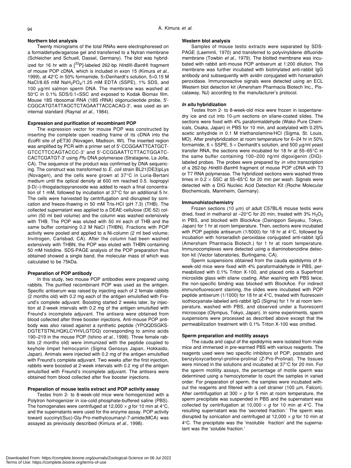# **Northern blot analysis**

Twenty micrograms of the total RNAs were electrophoresed on a formaldehyde/agarose gel and transferred to a Nytran membrane (Schleicher and Schuell, Dassel, Germany). The blot was hybridized for 16 hr with a [32P]-labeled 262-bp *Hin*dIII-*Bam*HI fragment of mouse POP cDNA, which is included in exon 15 (Kimura *et al*., 1999), at 42°C in 50% formamide, 5×Denhardt's solution, 5×0.15 M NaCl/8.65 mM NaH<sub>2</sub>PO<sub>4</sub>/1.25 mM EDTA (SSPE), 1% SDS, and 100 µg/ml salmon sperm DNA. The membrane was washed at 50°C in 0.1% SDS/0.1×SSC and exposed to Kodak Biomax film. Mouse 18S ribosomal RNA (18S rRNA) oligonucleotide probe, 5'- CGGCATGTATTAGCTCTAGAATTACCACAG-3', was used as an internal standard (Raynal *et al.*, 1984).

94 A. Kimura *et al.*

# **Expression and purification of recombinant POP**

The expression vector for mouse POP was constructed by inserting the complete open reading frame of its cDNA into the *Eco*RI site of pET30 (Novagen, Madison, WI). The inserted region was amplified by PCR with a primer set of 5'-CCGGAATTCATGCT-GTCCTTCCAGTACCC-3' and 5'-CCGGAATTCTTACTGGATC-CACTCGATGT-3' using *Pfu* DNA polymerase (Stratagene, La Jolla, CA). The sequence of the product was confirmed by DNA sequencing. The construct was transformed to *E. coli* strain BL21(DE3)pLys (Novagen), and the cells were grown at 37°C in Luria-Bertani medium until the optical density at 600 nm reached 0.5. Isopropyl β-D(–)-thiogalactopyranoside was added to reach a final concentration of 1 mM, followed by incubation at 37°C for an additional 5 hr. The cells were harvested by centrifugation and disrupted by sonication and freeze-thawing in 50 mM Tris-HCl (pH 7.3) (THB). The collected supernatant was applied to a DEAE-cellulose (DE-52) column (50 ml bed volume) and the column was washed extensively with THB. The POP was eluted with 50 ml each of THB and the same buffer containing 0.2 M NaCl (THBN). Fractions with POP activity were pooled and applied to a Ni-column (2 ml bed volume; Invitrogen, Carlsbad, CA). After the column had been washed extensively with THBN, the POP was eluted with THBN containing 50 mM histidine. SDS-PAGE analysis of the POP preparation thus obtained showed a single band, the molecular mass of which was calculated to be 75kDa.

# **Preparation of POP antibody**

In this study, two mouse POP antibodies were prepared using rabbits. The purified recombinant POP was used as the antigen. Specific antiserum was raised by injecting each of 2 female rabbits (2 months old) with 0.2 mg each of the antigen emulsified with Freund's complete adjuvant. Boosting started 2 weeks later, by injection at 2-week intervals with 0.2 mg of the antigen emulsified with Freund's incomplete adjuvant. The antisera were obtained from blood collected after three booster injections. Anti-mouse POP antibody was also raised against a synthetic peptide (YPQQDSGKS-DGTETSTNLHQKLCYHVLGTDQ) corresponding to amino acids 190–219 in the mouse POP (Ishino *et al*., 1998). Three female rabbits (2 months old) were immunized with the peptide coupled to keyhole limpet hemocyanin (Sigma Genosys Japan, Hokkaido, Japan). Animals were injected with 0.2 mg of the antigen emulsified with Freund's complete adjuvant. Two weeks after the first injection, rabbits were boosted at 2-week intervals with 0.2 mg of the antigen emulsified with Freund's incomplete adjuvant. The antisera were obtained from blood collected after five booster injections.

#### **Preparation of mouse testis extract and POP activity assay**

Testes from 2- to 8-week-old mice were homogenized with a Polytron homogenizer in ice-cold phosphate-buffered saline (PBS). The homogenates were centrifuged at 12,000  $\times$  g for 10 min at 4 $\degree$ C, and the supernatants were used for the enzyme assay. POP activity toward succinyl(Suc)-Gly-Pro-methylcoumaryl-7-amide(MCA) was assayed as previously described (Kimura *et al.*, 1998).

# **Western blot analysis**

Samples of mouse testis extracts were separated by SDS-PAGE (Laemmli, 1970) and transferred to polyvinylidene difluoride membrane (Towbin *et al.*, 1979). The blotted membrane was incubated with rabbit anti-mouse POP antiserum at 1:200 dilution. The membrane was further incubated with biotinylated anti-rabbit IgG antibody and subsequently with avidin conjugated with horseradish peroxidase. Immunoreactive signals were detected using an ECL Western blot detection kit (Amersham Pharmacia Biotech Inc., Piscataway, NJ) according to the manufacturer's protocol.

# *In situ* **hybridization**

Testes from 2- to 8-week-old mice were frozen in isopentanedry ice and cut into 10-µm sections on silane-coated slides. The sections were fixed with 4% paraformaldehyde (Wako Pure Chemicals, Osaka, Japan) in PBS for 10 min, and acetylated with 0.25% acetic anhydride in 0.1 M triethanolamine/HCl (Sigma, St. Louis, MO). After prehybridization at room temperature for 6–24 hr in 50% formamide,  $6 \times$  SSPE,  $5 \times$  Denhardt's solution, and 500  $\mu$ g/ml yeast transfer RNA, the sections were incubated for 18 hr at 55–65°C in the same buffer containing 100–200 ng/ml digoxigenin (DIG) labeled probes. The probes were prepared by *in vitro* transcription of a 262-bp *Hin*dIII-*Bam*HI fragment of mouse POP cDNA with T3 or T7 RNA polymerase. The hybridized sections were washed three times in  $0.2 \times$  SSC at 55–65°C for 20 min per wash. Signals were detected with a DIG Nucleic Acid Detection Kit (Roche Molecular Biochemicals, Mannheim, Germany).

#### **Immunohistochemistry**

Frozen sections (10 µm) of adult C57BL/6 mouse testis were dried, fixed in methanol at -20°C for 20 min, treated with 3%  $H_2O_2$ in PBS, and blocked with BlockAce (Dainippon Seiyaku, Tokyo, Japan) for 1 hr at room temperature. Then, sections were incubated with POP peptide antiserum (1/5000) for 18 hr at 4°C, followed by incubation with horseradish peroxidase conjugated anti-rabbit IgG (Amersham Pharmacia Biotech.) for 1 hr at room temperature. Immunocomplexes were detected using a diaminobenzidine detection kit (Vector laboratories, Burlingame, CA).

Sperm suspensions obtained from the cauda epididymis of 8 week-old mice were fixed with 4% paraformaldehyde in PBS, permeabilized with 0.1% Triton X-100, and placed onto a Superfrost microslide glass with silane coating. After washing with PBS twice, the non-specific binding was blocked with BlockAce. For indirect immunofluorescent staining, the slides were incubated with POP peptide antiserum (1/1000) for 18 hr at 4°C, treated with fluorescein isothiocyanate-labeled anti-rabbit IgG (Sigma) for 1 hr at room temperature, washed with PBS, and observed under a fluorescent microscope (Olympus, Tokyo, Japan). In some experiments, sperm suspensions were processed as described above except that the permeabilization treatment with 0.1% Triton X-100 was omitted.

# **Sperm preparation and motility assays**

The cauda and caput of the epididymis were isolated from male mice and immersed in pre-warmed PBS with various reagents. The reagents used were two specific inhibitors of POP, poststatin and benzyloxycarbonyl-proline-prolinal (Z-Pro-Prolinal). The tissues were minced in the solutions and incubated at 37°C for 20 min. For the sperm motility assays, the percentage of motile sperm was determined using a hemocytometer to count the samples in varied order. For preparation of sperm, the samples were incubated without the reagents and filtered with a cell strainer (100 µm, Falcon). After centrifugation at 300  $\times$  *g* for 5 min at room temperature, the sperm precipitate was suspended in PBS and the supernatant was collected by centrifugation at 10,000  $\times$  *g* for 10 min at 4°C. The resulting supernatant was the 'secreted fraction.' The sperm was disrupted by sonication and centrifuged at  $12,000 \times g$  for 10 min at 4°C. The precipitate was the 'insoluble fraction' and the supernatant was the 'soluble fraction.'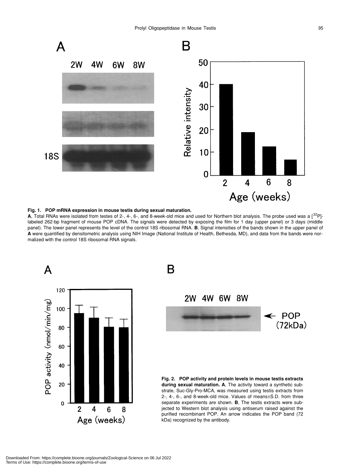

# **Fig. 1. POP mRNA expression in mouse testis during sexual maturation.**

**A**, Total RNAs were isolated from testes of 2-, 4-, 6-, and 8-week-old mice and used for Northern blot analysis. The probe used was a [32P] labeled 262-bp fragment of mouse POP cDNA. The signals were detected by exposing the film for 1 day (upper panel) or 3 days (middle panel). The lower panel represents the level of the control 18S ribosomal RNA. **B**, Signal intensities of the bands shown in the upper panel of **A** were quantified by densitometric analysis using NIH Image (National Institute of Health, Bethesda, MD), and data from the bands were normalized with the control 18S ribosomal RNA signals.





**Fig. 2. POP activity and protein levels in mouse testis extracts during sexual maturation. A**, The activity toward a synthetic substrate, Suc-Gly-Pro-MCA, was measured using testis extracts from 2-, 4-, 6-, and 8-week-old mice. Values of means±S.D. from three separate experiments are shown. **B**, The testis extracts were subjected to Western blot analysis using antiserum raised against the purified recombinant POP. An arrow indicates the POP band (72 kDa) recognized by the antibody.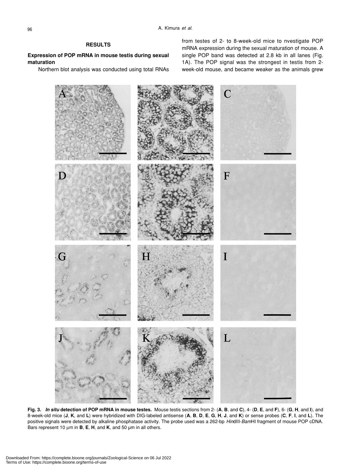# **RESULTS**

# **Expression of POP mRNA in mouse testis during sexual maturation**

Northern blot analysis was conducted using total RNAs

from testes of 2- to 8-week-old mice to nvestigate POP mRNA expression during the sexual maturation of mouse. A single POP band was detected at 2.8 kb in all lanes (Fig. 1A). The POP signal was the strongest in testis from 2 week-old mouse, and became weaker as the animals grew



**Fig. 3.** *In situ* **detection of POP mRNA in mouse testes.** Mouse testis sections from 2- (**A**, **B**, and **C**), 4- (**D**, **E**, and **F**), 6- (**G**, **H**, and **I**), and 8-week-old mice (J, K, and L) were hybridized with DIG-labeled antisense (A, B, D, E, G, H, J, and K) or sense probes (C, F, I, and L). The positive signals were detected by alkaline phosphatase activity. The probe used was a 262-bp *Hin*dIII-*Bam*HI fragment of mouse POP cDNA. Bars represent 10 µm in **B**, **E**, **H**, and **K**, and 50 µm in all others.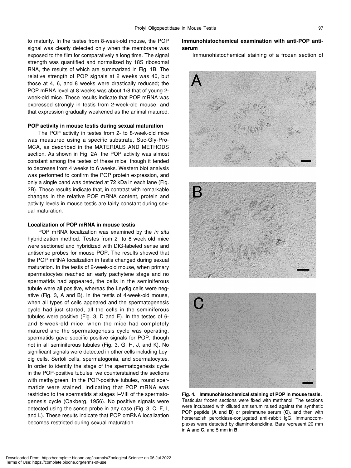to maturity. In the testes from 8-week-old mouse, the POP signal was clearly detected only when the membrane was exposed to the film for comparatively a long time. The signal strength was quantified and normalized by 18S ribosomal RNA, the results of which are summarized in Fig. 1B. The relative strength of POP signals at 2 weeks was 40, but those at 4, 6, and 8 weeks were drastically reduced; the POP mRNA level at 8 weeks was about 1/8 that of young 2 week-old mice. These results indicate that POP mRNA was expressed strongly in testis from 2-week-old mouse, and that expression gradually weakened as the animal matured.

# **POP activity in mouse testis during sexual maturation**

The POP activity in testes from 2- to 8-week-old mice was measured using a specific substrate, Suc-Gly-Pro-MCA, as described in the MATERIALS AND METHODS section. As shown in Fig. 2A, the POP activity was almost constant among the testes of these mice, though it tended to decrease from 4 weeks to 6 weeks. Western blot analysis was performed to confirm the POP protein expression, and only a single band was detected at 72 kDa in each lane (Fig. 2B). These results indicate that, in contrast with remarkable changes in the relative POP mRNA content, protein and activity levels in mouse testis are fairly constant during sexual maturation.

# **Localization of POP mRNA in mouse testis**

POP mRNA localization was examined by the *in situ* hybridization method. Testes from 2- to 8-week-old mice were sectioned and hybridized with DIG-labeled sense and antisense probes for mouse POP. The results showed that the POP mRNA localization in testis changed during sexual maturation. In the testis of 2-week-old mouse, when primary spermatocytes reached an early pachytene stage and no spermatids had appeared, the cells in the seminiferous tubule were all positive, whereas the Leydig cells were negative (Fig. 3, A and B). In the testis of 4-week-old mouse, when all types of cells appeared and the spermatogenesis cycle had just started, all the cells in the seminiferous tubules were positive (Fig. 3, D and E). In the testes of 6 and 8-week-old mice, when the mice had completely matured and the spermatogenesis cycle was operating, spermatids gave specific positive signals for POP, though not in all seminiferous tubules (Fig. 3, G, H, J, and K). No significant signals were detected in other cells including Leydig cells, Sertoli cells, spermatogonia, and spermatocytes. In order to identify the stage of the spermatogenesis cycle in the POP-positive tubules, we counterstained the sections with methylgreen. In the POP-positive tubules, round spermatids were stained, indicating that POP mRNA was restricted to the spermatids at stages I–VIII of the spermatogenesis cycle (Oakberg, 1956). No positive signals were detected using the sense probe in any case (Fig. 3, C, F, I, and L). These results indicate that POP omRNA localization becomes restricted during sexual maturation.

# **Immunohistochemical examination with anti-POP antiserum**

Immunohistochemical staining of a frozen section of







**Fig. 4. Immunohistochemical staining of POP in mouse testis**. Testicular frozen sections were fixed with methanol. The sections were incubated with diluted antiserum raised against the synthetic POP peptide (**A** and **B**) or preimmune serum (**C**), and then with horseradish peroxidase-conjugated anti-rabbit IgG. Immunocomplexes were detected by diaminobenzidine. Bars represent 20 mm in **A** and **C**, and 5 mm in **B**.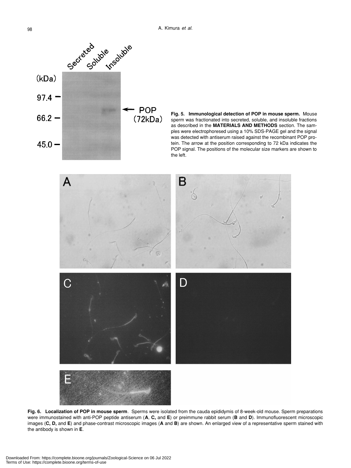

**Fig. 5. Immunological detection of POP in mouse sperm.** Mouse sperm was fractionated into secreted, soluble, and insoluble fractions as described in the **MATERIALS AND METHODS** section. The samples were electrophoresed using a 10% SDS-PAGE gel and the signal was detected with antiserum raised against the recombinant POP protein. The arrow at the position corresponding to 72 kDa indicates the POP signal. The positions of the molecular size markers are shown to the left.



**Fig. 6. Localization of POP in mouse sperm**. Sperms were isolated from the cauda epididymis of 8-week-old mouse. Sperm preparations were immunostained with anti-POP peptide antiserum (**A**, **C,** and **E**) or preimmune rabbit serum (**B** and **D**). Immunofluorescent microscopic images (**C, D,** and **E**) and phase-contrast microscopic images (**A** and **B**) are shown. An enlarged view of a representative sperm stained with the antibody is shown in **E**.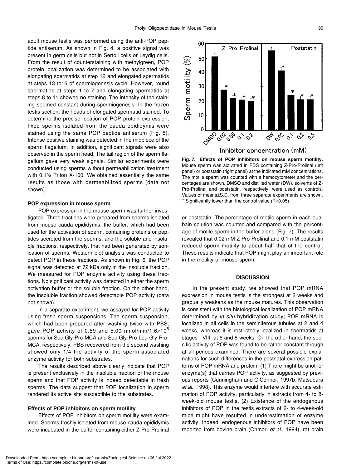adult mouse testis was performed using the anti-POP peptide antiserum. As shown in Fig. 4, a positive signal was present in germ cells but not in Sertoli cells or Leydig cells. From the result of counterstaining with methylgreen, POP protein localization was determined to be associated with elongating spermatids at step 12 and elongated spermatids at steps 13 to16 of spermiogenesis cycle. However, round spermatids at steps 1 to 7 and elongating spermatids at steps 8 to 11 showed no staining. The intensity of the staining seemed constant during spermiogenesis. In the frozen testis section, the heads of elongated spermatid stained. To determine the precise location of POP protein expression, fixed sperms isolated from the cauda epididymis were stained using the same POP peptide antiserum (Fig. 5). Intense positive staining was detected in the midpiece of the sperm flagellum. In addition, significant signals were also observed in the sperm head. The tail region of the sperm flagellum gave very weak signals. Similar experiments were conducted using sperms without permeabilization treatment with 0.1% Triton X-100. We obtained essentially the same results as those with permeabilized sperms (data not shown).

# **POP expression in mouse sperm**

POP expression in the mouse sperm was further investigated. Three fractions were prepared from sperms isolated from mouse cauda epididymis: the buffer, which had been used for the activation of sperm, containing proteins or peptides secreted from the sperms, and the soluble and insoluble fractions, respectively, that had been generated by sonication of sperms. Western blot analysis was conducted to detect POP in these fractions. As shown in Fig. 6, the POP signal was detected at 72 kDa only in the insoluble fraction. We measured for POP enzyme activity using these fractions. No significant activity was detected in either the sperm activation buffer or the soluble fraction. On the other hand, the insoluble fraction showed detectable POP activity (data not shown).

In a separate experiment, we assayed for POP activity using fresh sperm suspensions. The sperm suspension, which had been prepared after washing twice with PBS, gave POP activity of 0.59 and 5.00 nmol/min/1.6 $\times$ 10<sup>5</sup> sperms for Suc-Gly-Pro-MCA and Suc-Gly-Pro-Leu-Gly-Pro-MCA, respectively. PBS recovered from the second washing showed only 1/4 the activity of the sperm-associated enzyme activity for both substrates.

The results described above clearly indicate that POP is present exclusively in the insoluble fraction of the mouse sperm and that POP activity is indeed detectable in fresh sperms. The data suggest that POP localization in sperm rendered its active site susceptible to the substrates.

# **Effects of POP inhibitors on sperm motility**

Effects of POP inhibitors on sperm motility were examined. Sperms freshly isolated from mouse cauda epididymis were incubated in the buffer containing either Z-Pro-Prolinal



**Fig. 7. Effects of POP inhibitors on mouse sperm motility.** Mouse sperm was activated in PBS containing Z-Pro-Prolinal (left panel) or poststatin (right panel) at the indicated mM concentrations. The motile sperm was counted with a hemocytometer and the percentages are shown. DMSO and distilled water (DW), solvents of Z-Pro-Prolinal and poststatin, respectively, were used as controls. Values of means±S.D. from three separate experiments are shown. \* Significantly lower than the control value (P<0.05).

or poststatin. The percentage of motile sperm in each ouabain solution was counted and compared with the percentage of motile sperm in the buffer alone (Fig. 7). The results revealed that 0.02 mM Z-Pro-Prolinal and 0.1 mM poststatin reduced sperm motility to about half that of the control. These results indicate that POP might play an important role in the motility of mouse sperm.

# **DISCUSSION**

In the present study, we showed that POP mRNA expression in mouse testis is the strongest at 2 weeks and gradually weakens as the mouse matures. This observation is consistent with the histological localization of POP mRNA determined by *in situ* hybridization study; POP mRNA is localized in all cells in the seminiferous tubules at 2 and 4 weeks, whereas it is restrictedly localized in spermatids at stages I-VIII, at 6 and 8 weeks. On the other hand, the specific activity of POP was found to be rather constant through at all periods examined. There are several possible explanations for such differences in the postnatal expression patterns of POP mRNA and protein. (1) There might be another enzyme(s) that carries POP activity, as suggested by previous reports (Cunningham and O'Connor, 1997b; Matsubara *et al.*, 1998). This enzyme would interfere with accurate estimation of POP activity, particularly in extracts from 4- to 8 week-old mouse testis. (2) Existence of the endogenous inhibitors of POP in the testis extracts of 2- to 4-week-old mice might have resulted in underestimation of enzyme activity. Indeed, endogenous inhibitors of POP have been reported from bovine brain (Ohmori *et al.*, 1994), rat brain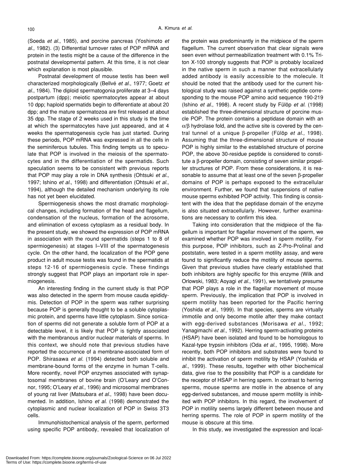(Soeda *et al.*, 1985), and porcine pancreas (Yoshimoto *et al.*, 1982). (3) Differential turnover rates of POP mRNA and protein in the testis might be a cause of the difference in the postnatal developmental pattern. At this time, it is not clear which explanation is most plausible.

Postnatal development of mouse testis has been well characterized morphologically (Bellvé *et al.*, 1977; Goetz *et al.*, 1984). The diploid spermatogonia proliferate at 3–4 days postpartum (dpp); meiotic spermatocytes appear at about 10 dpp; haploid spermatids begin to differentiate at about 20 dpp; and the mature spermatozoa are first released at about 35 dpp. The stage of 2 weeks used in this study is the time at which the spermatocytes have just appeared, and at 4 weeks the spermatogenesis cycle has just started. During these periods, POP mRNA was expressed in all the cells in the seminiferous tubules. This finding tempts us to speculate that POP is involved in the meiosis of the spermatocytes and in the differentiation of the spermatids. Such speculation seems to be consistent with previous reports that POP may play a role in DNA synthesis (Ohtsuki *et al.*, 1997; Ishino *et al.*, 1998) and differentiation (Ohtsuki *et al.*, 1994), although the detailed mechanism underlying its role has not yet been elucidated.

Spermiogenesis shows the most dramatic morphological changes, including formation of the head and flagellum, condensation of the nucleus, formation of the acrosome, and elimination of excess cytoplasm as a residual body. In the present study, we showed the expression of POP mRNA in association with the round spermatids (steps 1 to 8 of spermiogenesis) at stages I–VIII of the spermatogenesis cycle. On the other hand, the localization of the POP gene product in adult mouse testis was found in the spermatids at steps 12-16 of spermiogenesis cycle. These findings strongly suggest that POP plays an important role in spermiogenesis.

An interesting finding in the current study is that POP was also detected in the sperm from mouse cauda epididymis. Detection of POP in the sperm was rather surprising because POP is generally thought to be a soluble cytoplasmic protein, and sperms have little cytoplasm. Since sonication of sperms did not generate a soluble form of POP at a detectable level, it is likely that POP is tightly associated with the membranous and/or nuclear materials of sperms. In this context, we should note that previous studies have reported the occurrence of a membrane-associated form of POP. Shirasawa *et al*. (1994) detected both soluble and membrane-bound forms of the enzyme in human T-cells. More recently, novel POP enzymes associated with synaptosomal membranes of bovine brain (O'Leary and O'Connor, 1995; O'Leary *et al*., 1996) and microsomal membranes of young rat liver (Matsubara *et al*., 1998) have been documented. In addition, Ishino *et al*. (1998) demonstrated the cytoplasmic and nuclear localization of POP in Swiss 3T3 cells.

Immunohistochemical analysis of the sperm, performed using specific POP antibody, revealed that localization of the protein was predominantly in the midpiece of the sperm flagellum. The current observation that clear signals were seen even without permeabilization treatment with 0.1% Triton X-100 strongly suggests that POP is probably localized in the native sperm in such a manner that extracellularly added antibody is easily accessible to the molecule. It should be noted that the antibody used for the current histological study was raised against a synthetic peptide corresponding to the mouse POP amino acid sequence 190-219 (Ishino *et al*., 1998). A recent study by Fülöp *et al*. (1998) established the three-dimensional structure of porcine muscle POP. The protein contains a peptidase domain with an  $\alpha$ /β hydrolase fold, and the active site is covered by the central tunnel of a unique β-propeller (Fülöp *et al*., 1998). Assuming that the three-dimensional structure of mouse POP is highly similar to the established structure of porcine POP, the above 30-residue peptide is considered to constitute a β-propeller domain, consisting of seven similar propeller structures of POP. From these considerations, it is reasonable to assume that at least one of the seven β-propeller domains of POP is perhaps exposed to the extracellular environment. Further, we found that suspensions of native mouse sperms exhibited POP activity. This finding is consistent with the idea that the peptidase domain of the enzyme is also situated extracellularly. However, further examinations are necessary to confirm this idea.

Taking into consideration that the midpiece of the flagellum is important for flagellar movement of the sperm, we examined whether POP was involved in sperm motility. For this purpose, POP inhibitors, such as Z-Pro-Prolinal and poststatin, were tested in a sperm motility assay, and were found to significantly reduce the motility of mouse sperms. Given that previous studies have clearly established that both inhibitors are highly specific for this enzyme (Wilk and Orlowski, 1983; Aoyagi *et al*., 1991), we tentatively presume that POP plays a role in the flagellar movement of mouse sperm. Previously, the implication that POP is involved in sperm motility has been reported for the Pacific herring (Yoshida *et al*., 1999). In that species, sperms are virtually immotile and only become motile after they make contact with egg-derived substances (Morisawa *et al*., 1992; Yanagimachi *et al*., 1992). Herring sperm-activating proteins (HSAP) have been isolated and found to be homologous to Kazal-type trypsin inhibitors (Oda *et al*., 1995, 1998). More recently, both POP inhibitors and substrates were found to inhibit the activation of sperm motility by HSAP (Yoshida *et al*., 1999). These results, together with other biochemical data, give rise to the possibility that POP is a candidate for the receptor of HSAP in herring sperm. In contrast to herring sperms, mouse sperms are motile in the absence of any egg-derived substances, and mouse sperm motility is inhibited with POP inhibitors. In this regard, the involvement of POP in motility seems largely different between mouse and herring sperms. The role of POP in sperm motility of the mouse is obscure at this time.

In this study, we investigated the expression and local-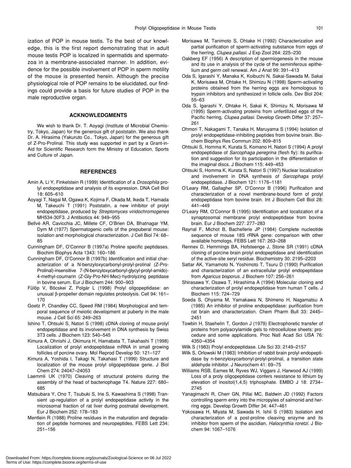ization of POP in mouse testis. To the best of our knowledge, this is the first report demonstrating that in adult mouse testis POP is localized in spermatids and spermatozoa in a membrane-associated manner. In addition, evidence for the possible involvement of POP in sperm motility of the mouse is presented herein. Although the precise physiological role of POP remains to be elucidated, our findings could provide a basis for future studies of POP in the male reproductive organ.

# **ACKNOWLEDGMENTS**

We wish to thank Dr. T. Aoyagi (Institute of Microbial Chemistry, Tokyo, Japan) for the generous gift of poststatin. We also thank Dr. A. Hirasima (Yakuruto Co., Tokyo, Japan) for the generous gift of Z-Pro-Prolinal. This study was supported in part by a Grant-in-Aid for Scientific Research form the Ministry of Education, Sports and Culture of Japan.

# **REFERENCES**

- Amin A, Li Y, Finkelstein R (1999) Identification of a *Drosophila* prolyl endopeptidase and analysis of its expression. DNA Cell Biol 18: 605–610
- Aoyagi T, Nagai M, Ogawa K, Kojima F, Okada M, Ikeda T, Hamada M, Takeuchi T (1991) Poststatin, a new inhibitor of prolyl endopeptidase, produced by *Streptomyces viridochromogenes* MH534-30F3. J Antibiotics 44: 949–955
- Bellvé AR, Cavicchia JC, Millete CF, O'Brien DA, Bhatnagar YM, Dym M (1977) Spermatogenic cells of the prepuberal mouse: isolation and morphological characterization. J Cell Biol 74: 68– 85
- Cunningham DF, O'Connor B (1997a) Proline specific peptidases. Biochim Biophys Acta 1343: 160–186
- Cunningham DF, O'Connor B (1997b) Identification and initial characterization of a N-benzyloxycarbonyl-prolyl-prolinal (Z-Pro-Prolinal)-insensitive 7-(N-benzyloxycarbonyl-glycyl-prolyl-amido)- 4-methyl-coumarin (Z-Gly-Pro-NH-Mec)-hydrolyzing peptidase in bovine serum. Eur J Biochem 244: 900–903
- Fülöp V, Böcskei Z, Polgár L (1998) Prolyl oligopeptidase: an unusual β-propeller domain regulates proteolysis. Cell 94: 161– 170
- Goetz P, Chandley CC, Speed RM (1984) Morphological and temporal sequence of meiotic development at puberty in the male mouse. J Cell Sci 65: 249–263
- Ishino T, Ohtsuki S, Natori S (1998) cDNA cloning of mouse prolyl endopeptidase and its involvement in DNA synthesis by Swiss 3T3 cells. J Biochem 123: 540–545
- Kimura A, Ohnishi J, Okimura H, Hamabata T, Takahashi T (1998) Localization of prolyl endopeptidase mRNA in small growing follicles of porcine ovary. Mol Reprod Develop 50: 121–127
- Kimura A, Yoshida I, Takagi N, Takahasi T (1999) Structure and localization of the mouse prolyl oligopeptidase gene. J Biol Chem 274: 24047–24053
- Laemmli UK (1970) Cleaving of structural proteins during the assembly of the head of bacteriophage T4. Nature 227: 680– 685
- Matsubara Y, Ono T, Tsubuki S, Irie S, Kawashima S (1998) Transient up-regulation of a prolyl endopeptidase activity in the microsomal fraction of rat liver during postnatal development. Eur J Biochem 252: 178–183
- Mentlein R (1988) Proline residues in the maturation and degradation of peptide hormones and neuropeptides. FEBS Lett 234: 251–156
- Morisawa M, Tanimoto S, Ohtake H (1992) Characterization and partial purification of sperm-activating substance from eggs of the herring, *Clupea pallasi*. J Exp Zool 264: 225–230
- Oakberg EF (1956) A description of spermiogenesis in the mouse and its use in analysis of the cycle of the seminiferous epithelium and germ cell renewal. Am J Anat 99: 391–413
- Oda S, Igarashi Y, Manaka K, Koibuchi N, Sakai-Sawada M, Sakai K, Morisawa M, Ohtake H, Shimizu N (1998) Sperm-activating proteins obtained from the herring eggs are homologous to trypsin inhibitors and synthesized in follicle cells. Dev Biol 204: 55–63
- Oda S, Igarashi Y, Ohtake H, Sakai K, Shimizu N, Morisawa M (1995) Sperm-activating proteins from unfertilized eggs of the Pacific herring, *Clupea pallasi*. Develop Growth Differ 37: 257– 261
- Ohmori T, Nakagami T, Tanaka H, Maruyama S (1994) Isolation of prolyl endopeptidase-inhibiting peptides from bovine brain. Biochem Biophys Res Commun 202: 809–815
- Ohtsuki S, Homma K, Kurata S, Komano H, Natori S (1994) A prolyl endopeptidase of *Sarcophaga peregrina* (flesh fly): its purification and suggestion for its participation in the differentiation of the imaginal discs. J Biochem 115: 449–453
- Ohtsuki S, Homma K, Kurata S, Natori S (1997) Nuclear localization and involvement in DNA synthesis of *Sarcophaga* prolyl endopeptidase. J Biochem 121: 1176–1181
- O'Leary RM, Gallagher SP, O'Connor B (1996) Purification and characterization of a novel membrane-bound form of prolyl endopeptidase from bovine brain. Int J Biochem Cell Biol 28: 441–449
- O'Leary RM, O'Connor B (1995) Identification and localization of a synaptosomal membrane prolyl endopeptidase from bovine brain. Eur J Biochem 227: 277–283
- Raynal F, Michot B, Bachellerie JP (1984) Complete nucleotide sequence of mouse 18S rRNA gene: comparison with other available homologs. FEBS Lett 167: 263–268
- Rennex D, Hemmings BA, Hofsteenge J, Stone SR (1991) cDNA cloning of porcine brain prolyl endopeptidase and identification of the active-site seryl residue. Biochemistry 30: 2195–2203
- Sattar AK, Yamamoto N, Yoshimoto T, Tsuru D (1990) Purification and characterization of an extracellular prolyl endopeptidase from *Agaricus bisporus*. J Biochem 107: 256–261
- Shirasawa Y, Osawa T, Hirashima A (1994) Molecular cloning and characterization of prolyl endopeptidase from human T cells. J Biochem 115: 724–729
- Soeda S, Ohyama M, Yamakawa N, Shimeno H, Nagamatsu A (1985) An inhibitor of proline endopeptidase: purification from rat brain and characterization. Chem Pharm Bull 33: 2445– 2451
- Towbin H, Staehelin T, Gordon J (1979) Electrophoretic transfer of proteins from polyacrylamide gels to nitrocellulose sheets: procedure and some applications. Proc Natl Acad Sci USA 76: 4350–4354

Wilk S (1983) Prolyl endopeptidase. Life Sci 33: 2149–2157

- Wilk S, Orlowski M (1983) Inhibition of rabbit brain prolyl endopeptidase by n-benzyloxycarbonyl-prolyl-prolinal, a transition state aldehyde inhibitor. J Neurochem 41: 69–75
- Williams RSB, Eames M, Ryves WJ, Viggars J, Harwood AJ (1999) Loss of a proly oligopeptidase confers resistance to lithium by elevation of inositol(1,4,5) triphosphate. EMBO J 18: 2734– 2745
- Yanagimachi R, Cherr GN, Pillai MC, Baldwin JD (1992) Factors controlling sperm entry into the micropyles of salmonid and herring eggs. Develop Growth Differ 34: 447–461
- Yokosawa H, Miyata M, Sawada H, Ishii S (1983) Isolation and characterization of a post-proline cleaving enzyme and its inhibitor from sperm of the ascidian, *Halocynthia roretzi.* J Biochem 94: 1067–1076